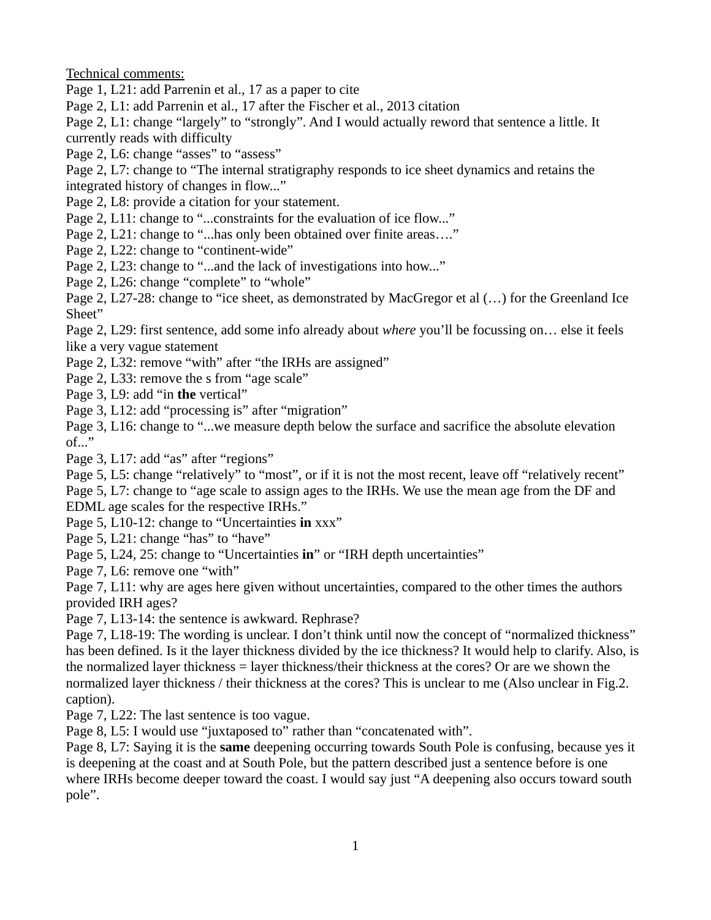Technical comments:

Page 1, L21: add Parrenin et al., 17 as a paper to cite

Page 2, L1: add Parrenin et al., 17 after the Fischer et al., 2013 citation

Page 2, L1: change "largely" to "strongly". And I would actually reword that sentence a little. It currently reads with difficulty

Page 2, L6: change "asses" to "assess"

Page 2, L7: change to "The internal stratigraphy responds to ice sheet dynamics and retains the integrated history of changes in flow..."

Page 2, L8: provide a citation for your statement.

Page 2, L11: change to "...constraints for the evaluation of ice flow..."

Page 2, L21: change to "...has only been obtained over finite areas...."

Page 2, L22: change to "continent-wide"

Page 2, L23: change to "...and the lack of investigations into how..."

Page 2, L26: change "complete" to "whole"

Page 2, L27-28: change to "ice sheet, as demonstrated by MacGregor et al (…) for the Greenland Ice Sheet"

Page 2, L29: first sentence, add some info already about *where* you'll be focussing on… else it feels like a very vague statement

Page 2, L32: remove "with" after "the IRHs are assigned"

Page 2, L33: remove the s from "age scale"

Page 3, L9: add "in **the** vertical"

Page 3, L12: add "processing is" after "migration"

Page 3, L16: change to "...we measure depth below the surface and sacrifice the absolute elevation of..."

Page 3, L17: add "as" after "regions"

Page 5, L5: change "relatively" to "most", or if it is not the most recent, leave off "relatively recent"

Page 5, L7: change to "age scale to assign ages to the IRHs. We use the mean age from the DF and EDML age scales for the respective IRHs."

Page 5, L10-12: change to "Uncertainties **in** xxx"

Page 5, L21: change "has" to "have"

Page 5, L24, 25: change to "Uncertainties **in**" or "IRH depth uncertainties"

Page 7, L6: remove one "with"

Page 7, L11: why are ages here given without uncertainties, compared to the other times the authors provided IRH ages?

Page 7, L13-14: the sentence is awkward. Rephrase?

Page 7, L18-19: The wording is unclear. I don't think until now the concept of "normalized thickness" has been defined. Is it the layer thickness divided by the ice thickness? It would help to clarify. Also, is the normalized layer thickness = layer thickness/their thickness at the cores? Or are we shown the normalized layer thickness / their thickness at the cores? This is unclear to me (Also unclear in Fig.2. caption).

Page 7, L22: The last sentence is too vague.

Page 8, L5: I would use "juxtaposed to" rather than "concatenated with".

Page 8, L7: Saying it is the **same** deepening occurring towards South Pole is confusing, because yes it is deepening at the coast and at South Pole, but the pattern described just a sentence before is one where IRHs become deeper toward the coast. I would say just "A deepening also occurs toward south pole".